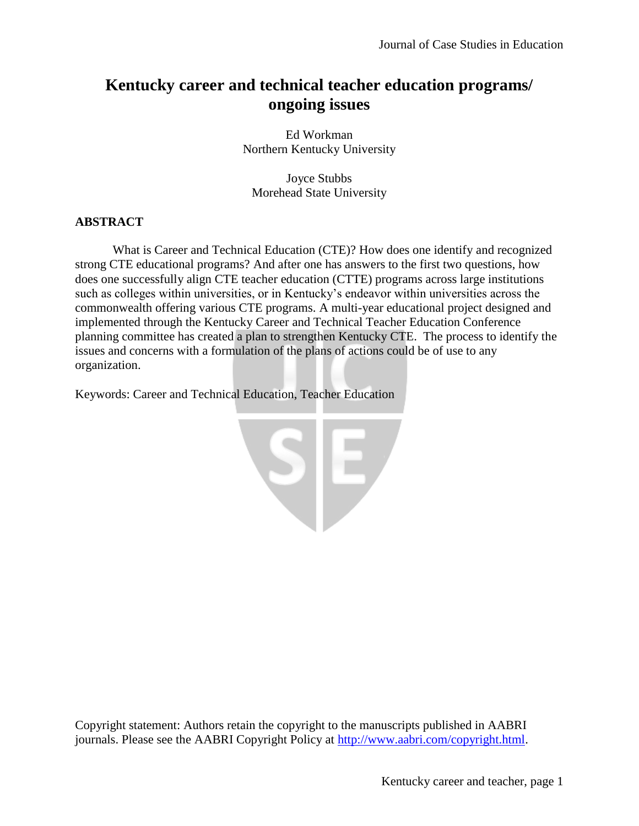# **Kentucky career and technical teacher education programs/ ongoing issues**

Ed Workman Northern Kentucky University

Joyce Stubbs Morehead State University

## **ABSTRACT**

What is Career and Technical Education (CTE)? How does one identify and recognized strong CTE educational programs? And after one has answers to the first two questions, how does one successfully align CTE teacher education (CTTE) programs across large institutions such as colleges within universities, or in Kentucky's endeavor within universities across the commonwealth offering various CTE programs. A multi-year educational project designed and implemented through the Kentucky Career and Technical Teacher Education Conference planning committee has created a plan to strengthen Kentucky CTE. The process to identify the issues and concerns with a formulation of the plans of actions could be of use to any organization.

Keywords: Career and Technical Education, Teacher Education



Copyright statement: Authors retain the copyright to the manuscripts published in AABRI journals. Please see the AABRI Copyright Policy at [http://www.aabri.com/copyright.html.](http://www.aabri.com/copyright.html)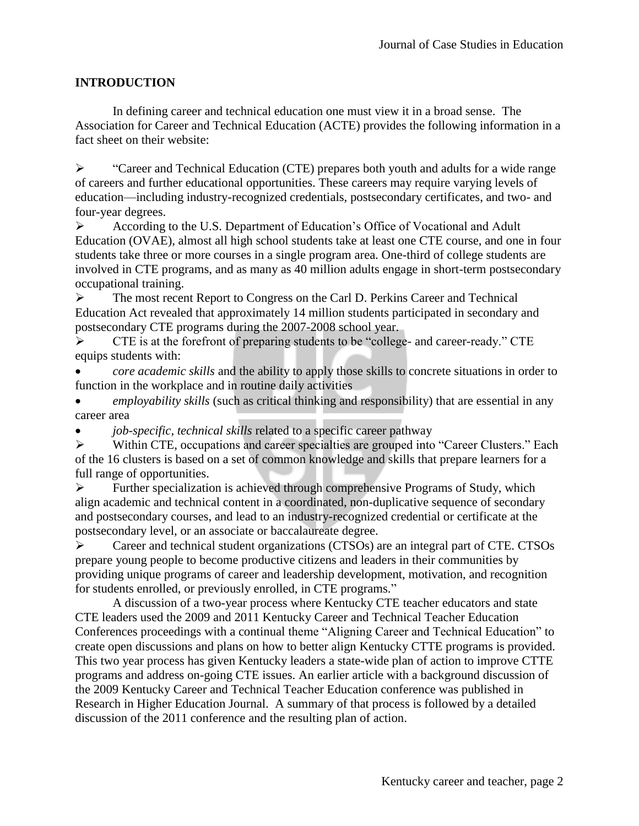## **INTRODUCTION**

In defining career and technical education one must view it in a broad sense. The Association for Career and Technical Education (ACTE) provides the following information in a fact sheet on their website:

• "Career and Technical Education (CTE) prepares both youth and adults for a wide range of careers and further educational opportunities. These careers may require varying levels of education—including industry-recognized credentials, postsecondary certificates, and two- and four-year degrees.

 According to the U.S. Department of Education's Office of Vocational and Adult Education (OVAE), almost all high school students take at least one CTE course, and one in four students take three or more courses in a single program area. One-third of college students are involved in CTE programs, and as many as 40 million adults engage in short-term postsecondary occupational training.

 The most recent Report to Congress on the Carl D. Perkins Career and Technical Education Act revealed that approximately 14 million students participated in secondary and postsecondary CTE programs during the 2007-2008 school year.

 CTE is at the forefront of preparing students to be "college- and career-ready." CTE equips students with:

 *core academic skills* and the ability to apply those skills to concrete situations in order to function in the workplace and in routine daily activities

 *employability skills* (such as critical thinking and responsibility) that are essential in any career area

*job-specific, technical skills* related to a specific career pathway

 Within CTE, occupations and career specialties are grouped into "Career Clusters." Each of the 16 clusters is based on a set of common knowledge and skills that prepare learners for a full range of opportunities.

 $\triangleright$  Further specialization is achieved through comprehensive Programs of Study, which align academic and technical content in a coordinated, non-duplicative sequence of secondary and postsecondary courses, and lead to an industry-recognized credential or certificate at the postsecondary level, or an associate or baccalaureate degree.

 Career and technical student organizations (CTSOs) are an integral part of CTE. CTSOs prepare young people to become productive citizens and leaders in their communities by providing unique programs of career and leadership development, motivation, and recognition for students enrolled, or previously enrolled, in CTE programs."

A discussion of a two-year process where Kentucky CTE teacher educators and state CTE leaders used the 2009 and 2011 Kentucky Career and Technical Teacher Education Conferences proceedings with a continual theme "Aligning Career and Technical Education" to create open discussions and plans on how to better align Kentucky CTTE programs is provided. This two year process has given Kentucky leaders a state-wide plan of action to improve CTTE programs and address on-going CTE issues. An earlier article with a background discussion of the 2009 Kentucky Career and Technical Teacher Education conference was published in Research in Higher Education Journal. A summary of that process is followed by a detailed discussion of the 2011 conference and the resulting plan of action.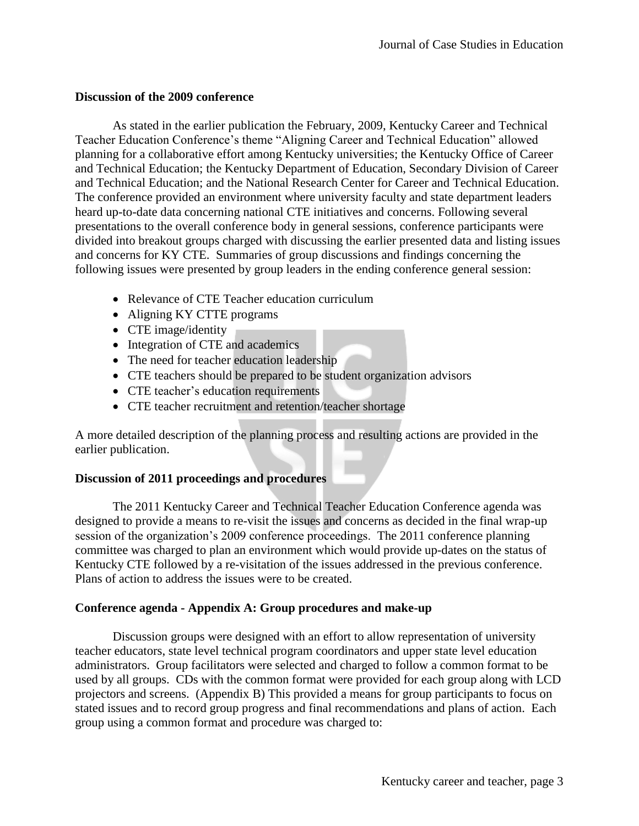#### **Discussion of the 2009 conference**

As stated in the earlier publication the February, 2009, Kentucky Career and Technical Teacher Education Conference's theme "Aligning Career and Technical Education" allowed planning for a collaborative effort among Kentucky universities; the Kentucky Office of Career and Technical Education; the Kentucky Department of Education, Secondary Division of Career and Technical Education; and the National Research Center for Career and Technical Education. The conference provided an environment where university faculty and state department leaders heard up-to-date data concerning national CTE initiatives and concerns. Following several presentations to the overall conference body in general sessions, conference participants were divided into breakout groups charged with discussing the earlier presented data and listing issues and concerns for KY CTE. Summaries of group discussions and findings concerning the following issues were presented by group leaders in the ending conference general session:

- Relevance of CTE Teacher education curriculum
- Aligning KY CTTE programs
- CTE image/identity
- Integration of CTE and academics
- The need for teacher education leadership
- CTE teachers should be prepared to be student organization advisors
- CTE teacher's education requirements
- CTE teacher recruitment and retention/teacher shortage

A more detailed description of the planning process and resulting actions are provided in the earlier publication.

## **Discussion of 2011 proceedings and procedures**

The 2011 Kentucky Career and Technical Teacher Education Conference agenda was designed to provide a means to re-visit the issues and concerns as decided in the final wrap-up session of the organization's 2009 conference proceedings. The 2011 conference planning committee was charged to plan an environment which would provide up-dates on the status of Kentucky CTE followed by a re-visitation of the issues addressed in the previous conference. Plans of action to address the issues were to be created.

## **Conference agenda - Appendix A: Group procedures and make-up**

Discussion groups were designed with an effort to allow representation of university teacher educators, state level technical program coordinators and upper state level education administrators. Group facilitators were selected and charged to follow a common format to be used by all groups. CDs with the common format were provided for each group along with LCD projectors and screens. (Appendix B) This provided a means for group participants to focus on stated issues and to record group progress and final recommendations and plans of action. Each group using a common format and procedure was charged to: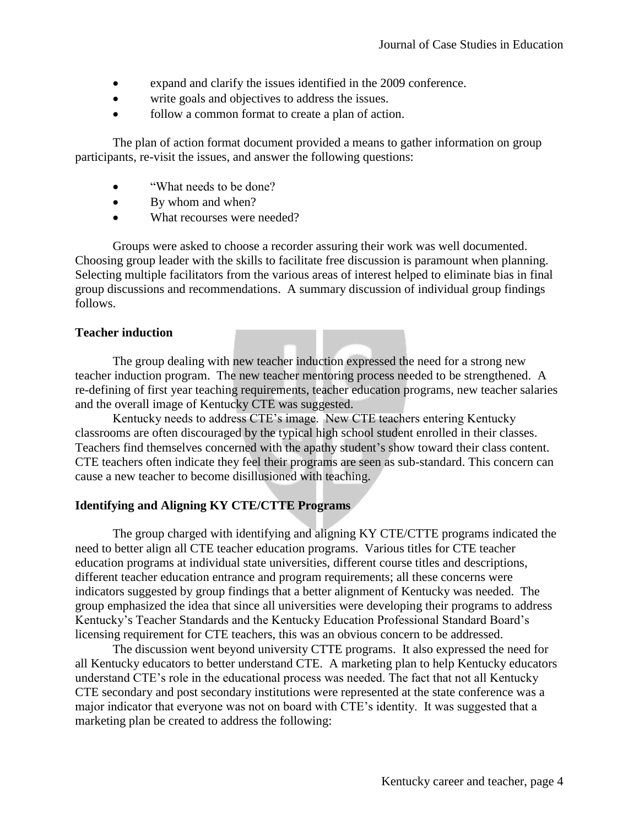- expand and clarify the issues identified in the 2009 conference.
- write goals and objectives to address the issues.
- follow a common format to create a plan of action.

The plan of action format document provided a means to gather information on group participants, re-visit the issues, and answer the following questions:

- "What needs to be done?
- By whom and when?
- What recourses were needed?

Groups were asked to choose a recorder assuring their work was well documented. Choosing group leader with the skills to facilitate free discussion is paramount when planning. Selecting multiple facilitators from the various areas of interest helped to eliminate bias in final group discussions and recommendations. A summary discussion of individual group findings follows.

## **Teacher induction**

The group dealing with new teacher induction expressed the need for a strong new teacher induction program. The new teacher mentoring process needed to be strengthened. A re-defining of first year teaching requirements, teacher education programs, new teacher salaries and the overall image of Kentucky CTE was suggested.

Kentucky needs to address CTE's image. New CTE teachers entering Kentucky classrooms are often discouraged by the typical high school student enrolled in their classes. Teachers find themselves concerned with the apathy student's show toward their class content. CTE teachers often indicate they feel their programs are seen as sub-standard. This concern can cause a new teacher to become disillusioned with teaching.

## **Identifying and Aligning KY CTE/CTTE Programs**

The group charged with identifying and aligning KY CTE/CTTE programs indicated the need to better align all CTE teacher education programs. Various titles for CTE teacher education programs at individual state universities, different course titles and descriptions, different teacher education entrance and program requirements; all these concerns were indicators suggested by group findings that a better alignment of Kentucky was needed. The group emphasized the idea that since all universities were developing their programs to address Kentucky's Teacher Standards and the Kentucky Education Professional Standard Board's licensing requirement for CTE teachers, this was an obvious concern to be addressed.

The discussion went beyond university CTTE programs. It also expressed the need for all Kentucky educators to better understand CTE. A marketing plan to help Kentucky educators understand CTE's role in the educational process was needed. The fact that not all Kentucky CTE secondary and post secondary institutions were represented at the state conference was a major indicator that everyone was not on board with CTE's identity. It was suggested that a marketing plan be created to address the following: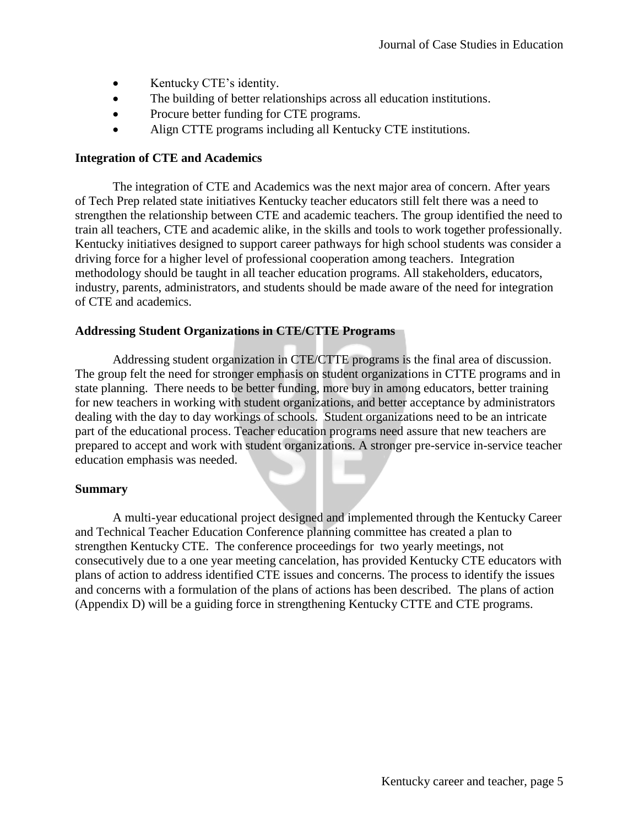- Kentucky CTE's identity.
- The building of better relationships across all education institutions.
- Procure better funding for CTE programs.
- Align CTTE programs including all Kentucky CTE institutions.

#### **Integration of CTE and Academics**

The integration of CTE and Academics was the next major area of concern. After years of Tech Prep related state initiatives Kentucky teacher educators still felt there was a need to strengthen the relationship between CTE and academic teachers. The group identified the need to train all teachers, CTE and academic alike, in the skills and tools to work together professionally. Kentucky initiatives designed to support career pathways for high school students was consider a driving force for a higher level of professional cooperation among teachers. Integration methodology should be taught in all teacher education programs. All stakeholders, educators, industry, parents, administrators, and students should be made aware of the need for integration of CTE and academics.

#### **Addressing Student Organizations in CTE/CTTE Programs**

Addressing student organization in CTE/CTTE programs is the final area of discussion. The group felt the need for stronger emphasis on student organizations in CTTE programs and in state planning. There needs to be better funding, more buy in among educators, better training for new teachers in working with student organizations, and better acceptance by administrators dealing with the day to day workings of schools. Student organizations need to be an intricate part of the educational process. Teacher education programs need assure that new teachers are prepared to accept and work with student organizations. A stronger pre-service in-service teacher education emphasis was needed.

#### **Summary**

A multi-year educational project designed and implemented through the Kentucky Career and Technical Teacher Education Conference planning committee has created a plan to strengthen Kentucky CTE. The conference proceedings for two yearly meetings, not consecutively due to a one year meeting cancelation, has provided Kentucky CTE educators with plans of action to address identified CTE issues and concerns. The process to identify the issues and concerns with a formulation of the plans of actions has been described. The plans of action (Appendix D) will be a guiding force in strengthening Kentucky CTTE and CTE programs.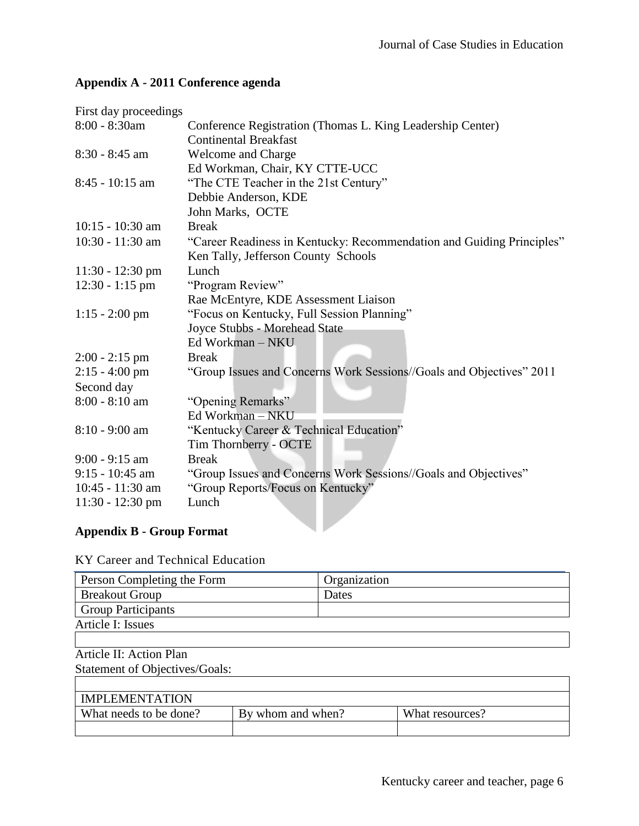| First day proceedings                    |                                                                       |  |  |
|------------------------------------------|-----------------------------------------------------------------------|--|--|
| 8:00 - 8:30am                            | Conference Registration (Thomas L. King Leadership Center)            |  |  |
|                                          | <b>Continental Breakfast</b>                                          |  |  |
| $8:30 - 8:45$ am                         | <b>Welcome and Charge</b>                                             |  |  |
|                                          | Ed Workman, Chair, KY CTTE-UCC                                        |  |  |
| $8:45 - 10:15$ am                        | "The CTE Teacher in the 21st Century"                                 |  |  |
|                                          | Debbie Anderson, KDE                                                  |  |  |
|                                          | John Marks, OCTE                                                      |  |  |
| $10:15 - 10:30$ am                       | <b>Break</b>                                                          |  |  |
| 10:30 - 11:30 am                         | "Career Readiness in Kentucky: Recommendation and Guiding Principles" |  |  |
|                                          | Ken Tally, Jefferson County Schools                                   |  |  |
| $11:30 - 12:30$ pm                       | Lunch                                                                 |  |  |
| $12:30 - 1:15$ pm                        | "Program Review"                                                      |  |  |
|                                          | Rae McEntyre, KDE Assessment Liaison                                  |  |  |
| $1:15 - 2:00$ pm                         | "Focus on Kentucky, Full Session Planning"                            |  |  |
|                                          | Joyce Stubbs - Morehead State                                         |  |  |
|                                          | Ed Workman - NKU                                                      |  |  |
| $2:00 - 2:15$ pm                         | <b>Break</b>                                                          |  |  |
| $2:15 - 4:00$ pm                         | "Group Issues and Concerns Work Sessions//Goals and Objectives" 2011  |  |  |
| Second day                               |                                                                       |  |  |
| 8:00 - 8:10 am                           | "Opening Remarks"                                                     |  |  |
|                                          | Ed Workman - NKU                                                      |  |  |
| 8:10 - 9:00 am                           | "Kentucky Career & Technical Education"                               |  |  |
|                                          | Tim Thornberry - OCTE                                                 |  |  |
| $9:00 - 9:15$ am                         | <b>Break</b>                                                          |  |  |
| $9:15 - 10:45$ am                        | "Group Issues and Concerns Work Sessions//Goals and Objectives"       |  |  |
| 10:45 - 11:30 am                         | "Group Reports/Focus on Kentucky"                                     |  |  |
| $11:30 - 12:30$ pm                       | Lunch                                                                 |  |  |
|                                          |                                                                       |  |  |
| $A$ properties $\mathbf{D}$ Cross Format |                                                                       |  |  |

## **Appendix A - 2011 Conference agenda**

## **Appendix B - Group Format**

KY Career and Technical Education

| Person Completing the Form | Organization |
|----------------------------|--------------|
| <b>Breakout Group</b>      | Dates        |
| <b>Group Participants</b>  |              |
| Article I: Issues          |              |
|                            |              |

## Article II: Action Plan

Statement of Objectives/Goals:

| <b>IMPLEMENTATION</b>  |                   |                 |
|------------------------|-------------------|-----------------|
| What needs to be done? | By whom and when? | What resources? |
|                        |                   |                 |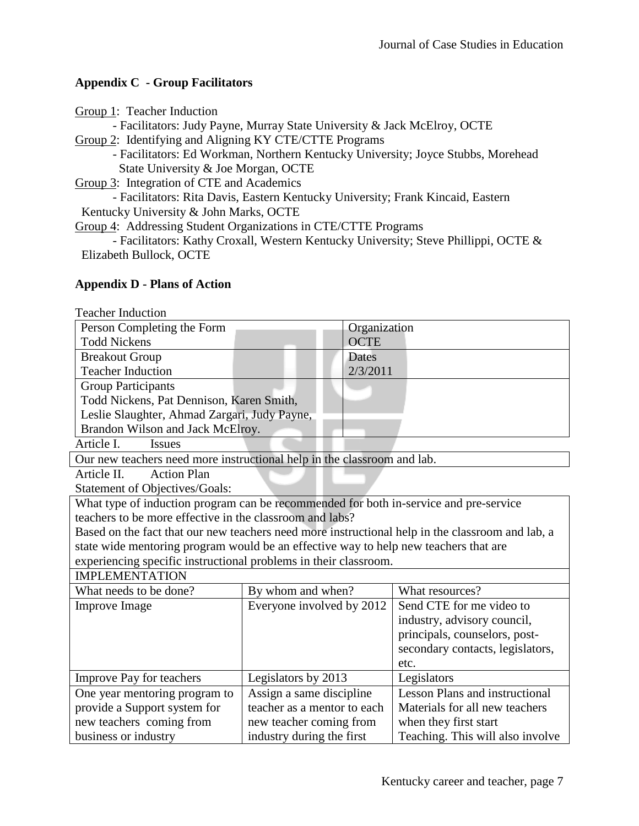## **Appendix C - Group Facilitators**

| Group 1: Teacher Induction                                                          |
|-------------------------------------------------------------------------------------|
| - Facilitators: Judy Payne, Murray State University & Jack McElroy, OCTE            |
| Group 2: Identifying and Aligning KY CTE/CTTE Programs                              |
| - Facilitators: Ed Workman, Northern Kentucky University; Joyce Stubbs, Morehead    |
| State University & Joe Morgan, OCTE                                                 |
| Group 3: Integration of CTE and Academics                                           |
| - Facilitators: Rita Davis, Eastern Kentucky University; Frank Kincaid, Eastern     |
| Kentucky University & John Marks, OCTE                                              |
| Group 4: Addressing Student Organizations in CTE/CTTE Programs                      |
| - Facilitators: Kathy Croxall, Western Kentucky University; Steve Phillippi, OCTE & |
| Elizabeth Bullock, OCTE                                                             |

## **Appendix D - Plans of Action**

Teacher Induction

| Person Completing the Form                                                                       |                             | Organization                          |  |
|--------------------------------------------------------------------------------------------------|-----------------------------|---------------------------------------|--|
| <b>Todd Nickens</b>                                                                              | <b>OCTE</b>                 |                                       |  |
| <b>Breakout Group</b>                                                                            | Dates                       |                                       |  |
| <b>Teacher Induction</b>                                                                         | 2/3/2011                    |                                       |  |
| <b>Group Participants</b>                                                                        |                             |                                       |  |
| Todd Nickens, Pat Dennison, Karen Smith,                                                         |                             |                                       |  |
| Leslie Slaughter, Ahmad Zargari, Judy Payne,                                                     |                             |                                       |  |
| Brandon Wilson and Jack McElroy.                                                                 |                             |                                       |  |
| Article I.<br><b>Issues</b>                                                                      |                             |                                       |  |
| Our new teachers need more instructional help in the classroom and lab.                          |                             |                                       |  |
| <b>Action Plan</b><br>Article II.                                                                |                             |                                       |  |
| <b>Statement of Objectives/Goals:</b>                                                            |                             |                                       |  |
| What type of induction program can be recommended for both in-service and pre-service            |                             |                                       |  |
| teachers to be more effective in the classroom and labs?                                         |                             |                                       |  |
| Based on the fact that our new teachers need more instructional help in the classroom and lab, a |                             |                                       |  |
| state wide mentoring program would be an effective way to help new teachers that are             |                             |                                       |  |
| experiencing specific instructional problems in their classroom.                                 |                             |                                       |  |
| <b>IMPLEMENTATION</b>                                                                            |                             |                                       |  |
| What needs to be done?                                                                           | By whom and when?           | What resources?                       |  |
| <b>Improve Image</b>                                                                             | Everyone involved by 2012   | Send CTE for me video to              |  |
|                                                                                                  |                             | industry, advisory council,           |  |
|                                                                                                  |                             | principals, counselors, post-         |  |
|                                                                                                  |                             | secondary contacts, legislators,      |  |
|                                                                                                  |                             | etc.                                  |  |
| <b>Improve Pay for teachers</b>                                                                  | Legislators by 2013         | Legislators                           |  |
| One year mentoring program to                                                                    | Assign a same discipline    | <b>Lesson Plans and instructional</b> |  |
| provide a Support system for                                                                     | teacher as a mentor to each | Materials for all new teachers        |  |
| new teachers coming from                                                                         | new teacher coming from     | when they first start                 |  |
| business or industry                                                                             | industry during the first   | Teaching. This will also involve      |  |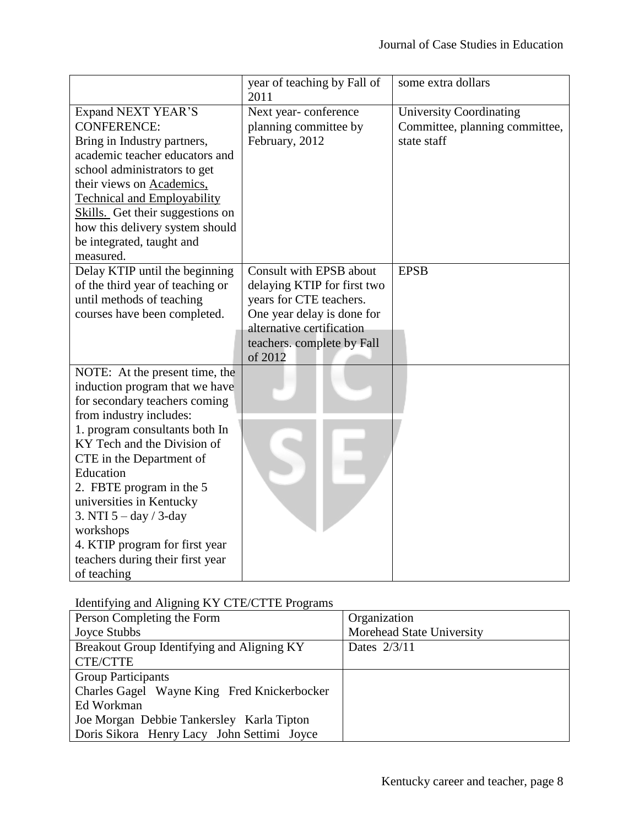|                                                                                                                                                                                                                                                                                                                                                                                                                              | year of teaching by Fall of<br>2011                                                                                                                                                   | some extra dollars                                                              |
|------------------------------------------------------------------------------------------------------------------------------------------------------------------------------------------------------------------------------------------------------------------------------------------------------------------------------------------------------------------------------------------------------------------------------|---------------------------------------------------------------------------------------------------------------------------------------------------------------------------------------|---------------------------------------------------------------------------------|
| <b>Expand NEXT YEAR'S</b><br><b>CONFERENCE:</b><br>Bring in Industry partners,<br>academic teacher educators and<br>school administrators to get<br>their views on Academics,<br><b>Technical and Employability</b><br>Skills. Get their suggestions on<br>how this delivery system should<br>be integrated, taught and<br>measured.                                                                                         | Next year-conference<br>planning committee by<br>February, 2012                                                                                                                       | <b>University Coordinating</b><br>Committee, planning committee,<br>state staff |
| Delay KTIP until the beginning<br>of the third year of teaching or<br>until methods of teaching<br>courses have been completed.                                                                                                                                                                                                                                                                                              | Consult with EPSB about<br>delaying KTIP for first two<br>years for CTE teachers.<br>One year delay is done for<br>alternative certification<br>teachers. complete by Fall<br>of 2012 | <b>EPSB</b>                                                                     |
| NOTE: At the present time, the<br>induction program that we have<br>for secondary teachers coming<br>from industry includes:<br>1. program consultants both In<br>KY Tech and the Division of<br>CTE in the Department of<br>Education<br>2. FBTE program in the 5<br>universities in Kentucky<br>3. NTI $5 - day / 3-day$<br>workshops<br>4. KTIP program for first year<br>teachers during their first year<br>of teaching |                                                                                                                                                                                       |                                                                                 |

## Identifying and Aligning KY CTE/CTTE Programs

| Person Completing the Form                  | Organization              |  |
|---------------------------------------------|---------------------------|--|
| Joyce Stubbs                                | Morehead State University |  |
| Breakout Group Identifying and Aligning KY  | Dates 2/3/11              |  |
| <b>CTE/CTTE</b>                             |                           |  |
| <b>Group Participants</b>                   |                           |  |
| Charles Gagel Wayne King Fred Knickerbocker |                           |  |
| Ed Workman                                  |                           |  |
| Joe Morgan Debbie Tankersley Karla Tipton   |                           |  |
| Doris Sikora Henry Lacy John Settimi Joyce  |                           |  |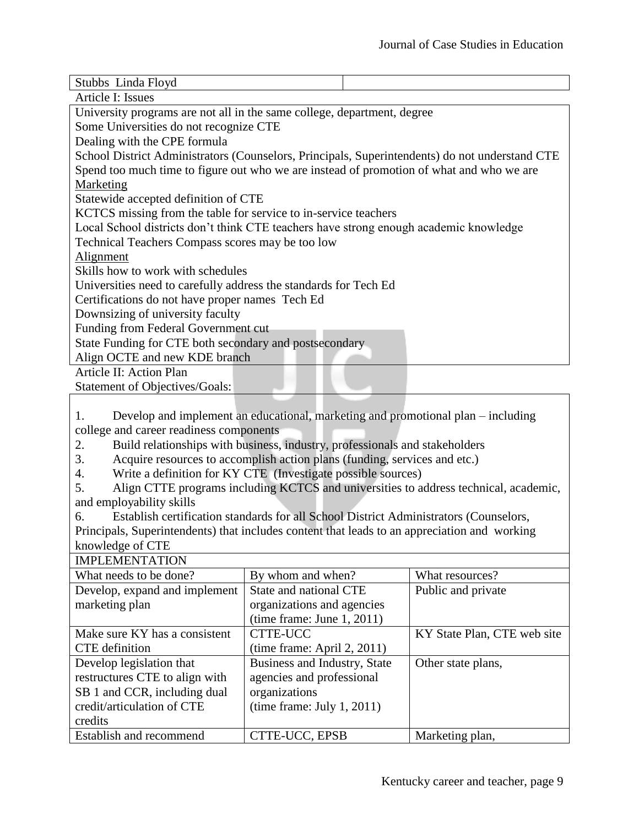| Stubbs Linda Floyd                                                                             |  |  |  |
|------------------------------------------------------------------------------------------------|--|--|--|
| Article I: Issues                                                                              |  |  |  |
| University programs are not all in the same college, department, degree                        |  |  |  |
| Some Universities do not recognize CTE                                                         |  |  |  |
| Dealing with the CPE formula                                                                   |  |  |  |
| School District Administrators (Counselors, Principals, Superintendents) do not understand CTE |  |  |  |
| Spend too much time to figure out who we are instead of promotion of what and who we are       |  |  |  |
| Marketing                                                                                      |  |  |  |
| Statewide accepted definition of CTE                                                           |  |  |  |
| KCTCS missing from the table for service to in-service teachers                                |  |  |  |
| Local School districts don't think CTE teachers have strong enough academic knowledge          |  |  |  |
| Technical Teachers Compass scores may be too low                                               |  |  |  |
| Alignment                                                                                      |  |  |  |
| Skills how to work with schedules                                                              |  |  |  |
| Universities need to carefully address the standards for Tech Ed                               |  |  |  |
| Certifications do not have proper names Tech Ed                                                |  |  |  |
| Downsizing of university faculty                                                               |  |  |  |
| Funding from Federal Government cut                                                            |  |  |  |
| State Funding for CTE both secondary and postsecondary                                         |  |  |  |
| Align OCTE and new KDE branch                                                                  |  |  |  |
| Article II: Action Plan                                                                        |  |  |  |
| <b>Statement of Objectives/Goals:</b>                                                          |  |  |  |
|                                                                                                |  |  |  |

1. Develop and implement an educational, marketing and promotional plan – including college and career readiness components

2. Build relationships with business, industry, professionals and stakeholders

3. Acquire resources to accomplish action plans (funding, services and etc.)

4. Write a definition for KY CTE (Investigate possible sources)

5. Align CTTE programs including KCTCS and universities to address technical, academic, and employability skills

6. Establish certification standards for all School District Administrators (Counselors, Principals, Superintendents) that includes content that leads to an appreciation and working knowledge of CTE

| <b>IMPLEMENTATION</b>          |                              |                             |
|--------------------------------|------------------------------|-----------------------------|
| What needs to be done?         | By whom and when?            | What resources?             |
| Develop, expand and implement  | State and national CTE       | Public and private          |
| marketing plan                 | organizations and agencies   |                             |
|                                | (time frame: June 1, 2011)   |                             |
| Make sure KY has a consistent  | <b>CTTE-UCC</b>              | KY State Plan, CTE web site |
| CTE definition                 | (time frame: April 2, 2011)  |                             |
| Develop legislation that       | Business and Industry, State | Other state plans,          |
| restructures CTE to align with | agencies and professional    |                             |
| SB 1 and CCR, including dual   | organizations                |                             |
| credit/articulation of CTE     | (time frame: July 1, 2011)   |                             |
| credits                        |                              |                             |
| Establish and recommend        | CTTE-UCC, EPSB               | Marketing plan,             |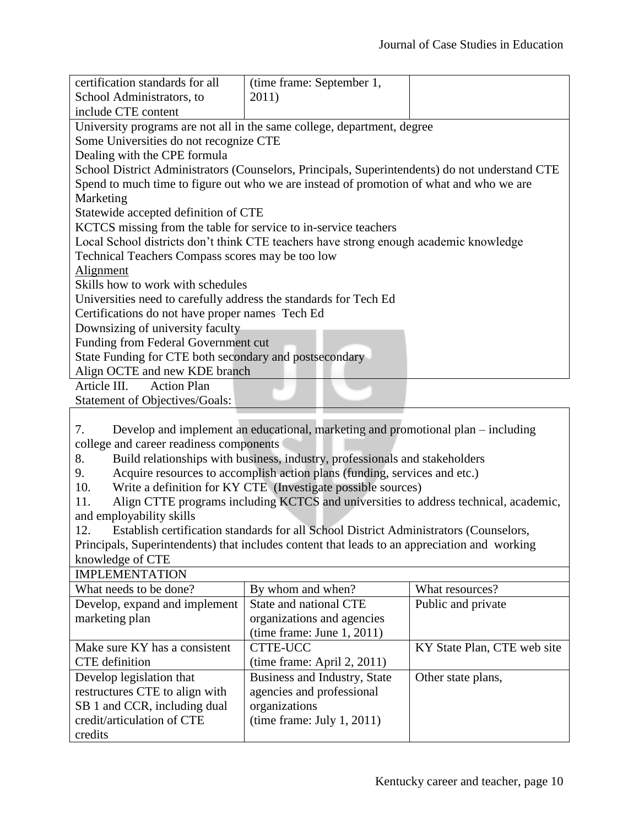| certification standards for all                                                                | (time frame: September 1, |  |  |
|------------------------------------------------------------------------------------------------|---------------------------|--|--|
| School Administrators, to                                                                      | 2011)                     |  |  |
| include CTE content                                                                            |                           |  |  |
| University programs are not all in the same college, department, degree                        |                           |  |  |
| Some Universities do not recognize CTE                                                         |                           |  |  |
| Dealing with the CPE formula                                                                   |                           |  |  |
| School District Administrators (Counselors, Principals, Superintendents) do not understand CTE |                           |  |  |
| Spend to much time to figure out who we are instead of promotion of what and who we are        |                           |  |  |
| Marketing                                                                                      |                           |  |  |
| Statewide accepted definition of CTE                                                           |                           |  |  |
| KCTCS missing from the table for service to in-service teachers                                |                           |  |  |
| Local School districts don't think CTE teachers have strong enough academic knowledge          |                           |  |  |
| Technical Teachers Compass scores may be too low                                               |                           |  |  |
| Alignment                                                                                      |                           |  |  |
| Skills how to work with schedules                                                              |                           |  |  |
| Universities need to carefully address the standards for Tech Ed                               |                           |  |  |
| Certifications do not have proper names Tech Ed                                                |                           |  |  |
| Downsizing of university faculty                                                               |                           |  |  |
| Funding from Federal Government cut                                                            |                           |  |  |
| State Funding for CTE both secondary and postsecondary                                         |                           |  |  |
| Align OCTE and new KDE branch                                                                  |                           |  |  |
| Article III.<br><b>Action Plan</b>                                                             |                           |  |  |
| Statement of Objectives/Goals:                                                                 |                           |  |  |

7. Develop and implement an educational, marketing and promotional plan – including college and career readiness components

8. Build relationships with business, industry, professionals and stakeholders

9. Acquire resources to accomplish action plans (funding, services and etc.)

10. Write a definition for KY CTE (Investigate possible sources)

11. Align CTTE programs including KCTCS and universities to address technical, academic, and employability skills

12. Establish certification standards for all School District Administrators (Counselors, Principals, Superintendents) that includes content that leads to an appreciation and working knowledge of CTE IMPLEMENTATION

| IMPLEMENTATION                 |                              |                             |
|--------------------------------|------------------------------|-----------------------------|
| What needs to be done?         | By whom and when?            | What resources?             |
| Develop, expand and implement  | State and national CTE       | Public and private          |
| marketing plan                 | organizations and agencies   |                             |
|                                | (time frame: June 1, 2011)   |                             |
| Make sure KY has a consistent  | CTTE-UCC                     | KY State Plan, CTE web site |
| CTE definition                 | (time frame: April 2, 2011)  |                             |
| Develop legislation that       | Business and Industry, State | Other state plans,          |
| restructures CTE to align with | agencies and professional    |                             |
| SB 1 and CCR, including dual   | organizations                |                             |
| credit/articulation of CTE     | (time frame: July 1, 2011)   |                             |
| credits                        |                              |                             |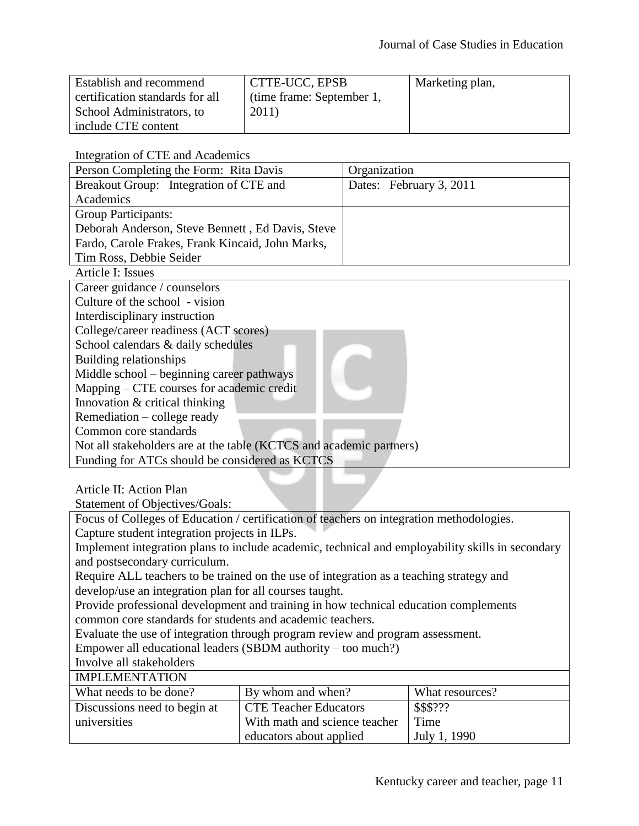| Establish and recommend         | CTTE-UCC, EPSB            | Marketing plan, |
|---------------------------------|---------------------------|-----------------|
| certification standards for all | (time frame: September 1, |                 |
| School Administrators, to       | 2011)                     |                 |
| include CTE content             |                           |                 |

Integration of CTE and Academics

| Person Completing the Form: Rita Davis           | Organization            |
|--------------------------------------------------|-------------------------|
| Breakout Group: Integration of CTE and           | Dates: February 3, 2011 |
| Academics                                        |                         |
| <b>Group Participants:</b>                       |                         |
| Deborah Anderson, Steve Bennett, Ed Davis, Steve |                         |
| Fardo, Carole Frakes, Frank Kincaid, John Marks, |                         |
| Tim Ross, Debbie Seider                          |                         |

Article I: Issues Career guidance / counselors Culture of the school - vision Interdisciplinary instruction College/career readiness (ACT scores) School calendars & daily schedules Building relationships Middle school – beginning career pathways Mapping – CTE courses for academic credit Innovation & critical thinking Remediation – college ready Common core standards Not all stakeholders are at the table (KCTCS and academic partners) Funding for ATCs should be considered as KCTCS

Article II: Action Plan

Statement of Objectives/Goals:

Focus of Colleges of Education / certification of teachers on integration methodologies. Capture student integration projects in ILPs. Implement integration plans to include academic, technical and employability skills in secondary and postsecondary curriculum. Require ALL teachers to be trained on the use of integration as a teaching strategy and develop/use an integration plan for all courses taught. Provide professional development and training in how technical education complements common core standards for students and academic teachers.

Evaluate the use of integration through program review and program assessment.

Empower all educational leaders (SBDM authority – too much?)

Involve all stakeholders IMPLEMENTATION

| <b>INILELVIER LATION</b>     |                               |                 |
|------------------------------|-------------------------------|-----------------|
| What needs to be done?       | By whom and when?             | What resources? |
| Discussions need to begin at | <b>CTE Teacher Educators</b>  | \$\$\$???       |
| universities                 | With math and science teacher | Time            |
|                              | educators about applied       | July 1, 1990    |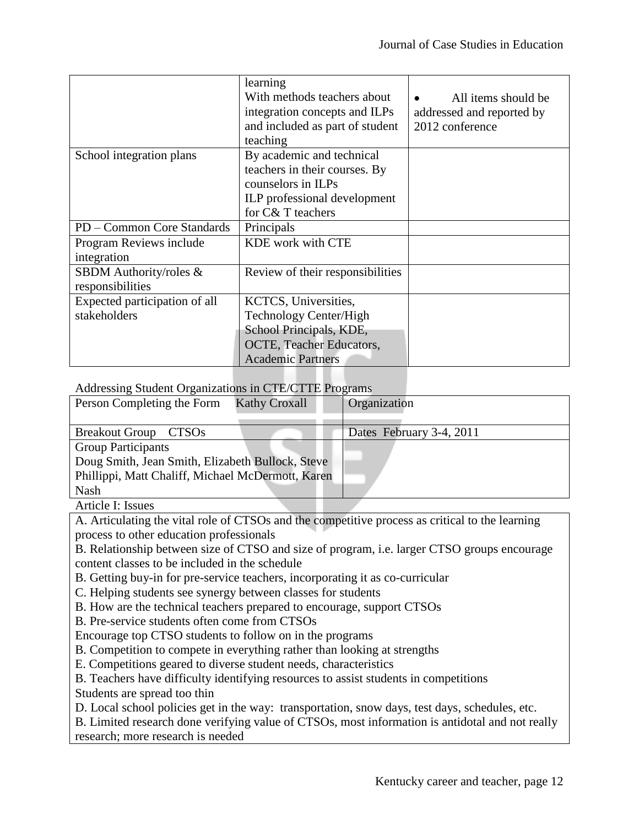|                               | learning                         |                           |
|-------------------------------|----------------------------------|---------------------------|
|                               | With methods teachers about      | All items should be       |
|                               | integration concepts and ILPs    | addressed and reported by |
|                               | and included as part of student  | 2012 conference           |
|                               | teaching                         |                           |
| School integration plans      | By academic and technical        |                           |
|                               | teachers in their courses. By    |                           |
|                               | counselors in ILPs               |                           |
|                               | ILP professional development     |                           |
|                               | for C& T teachers                |                           |
| PD – Common Core Standards    | Principals                       |                           |
| Program Reviews include       | KDE work with CTE                |                           |
| integration                   |                                  |                           |
| SBDM Authority/roles &        | Review of their responsibilities |                           |
| responsibilities              |                                  |                           |
| Expected participation of all | KCTCS, Universities,             |                           |
| stakeholders                  | Technology Center/High           |                           |
|                               | School Principals, KDE,          |                           |
|                               | OCTE, Teacher Educators,         |                           |
|                               | <b>Academic Partners</b>         |                           |

#### Addressing Student Organizations in CTE/CTTE Programs

| Person Completing the Form                        | <b>Kathy Croxall</b> | Organization             |
|---------------------------------------------------|----------------------|--------------------------|
|                                                   |                      |                          |
| Breakout Group CTSOs                              |                      | Dates February 3-4, 2011 |
| <b>Group Participants</b>                         |                      |                          |
| Doug Smith, Jean Smith, Elizabeth Bullock, Steve  |                      |                          |
| Phillippi, Matt Chaliff, Michael McDermott, Karen |                      |                          |
| <b>Nash</b>                                       |                      |                          |
|                                                   |                      |                          |

Article I: Issues

A. Articulating the vital role of CTSOs and the competitive process as critical to the learning process to other education professionals

B. Relationship between size of CTSO and size of program, i.e. larger CTSO groups encourage content classes to be included in the schedule

B. Getting buy-in for pre-service teachers, incorporating it as co-curricular

C. Helping students see synergy between classes for students

B. How are the technical teachers prepared to encourage, support CTSOs

B. Pre-service students often come from CTSOs

Encourage top CTSO students to follow on in the programs

B. Competition to compete in everything rather than looking at strengths

E. Competitions geared to diverse student needs, characteristics

B. Teachers have difficulty identifying resources to assist students in competitions Students are spread too thin

D. Local school policies get in the way: transportation, snow days, test days, schedules, etc.

B. Limited research done verifying value of CTSOs, most information is antidotal and not really research; more research is needed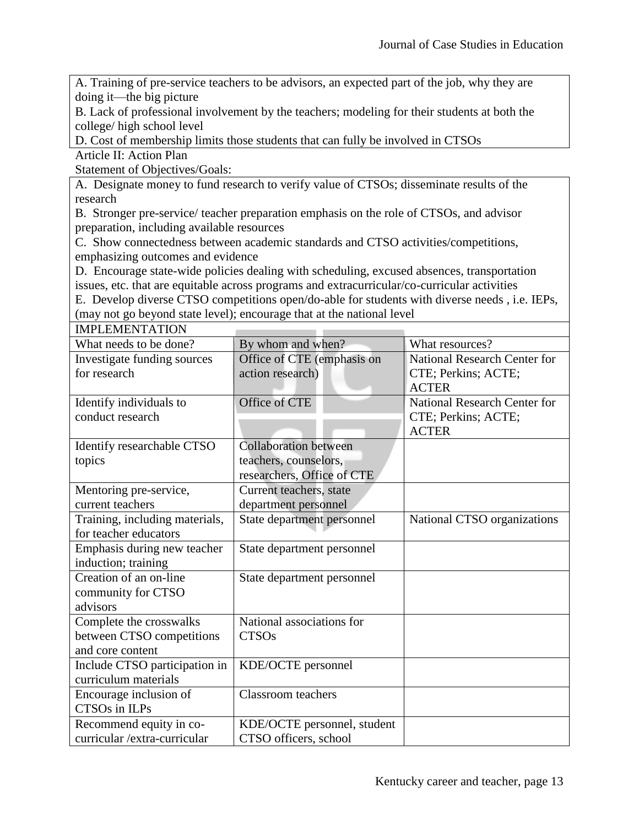A. Training of pre-service teachers to be advisors, an expected part of the job, why they are doing it—the big picture

B. Lack of professional involvement by the teachers; modeling for their students at both the college/ high school level

D. Cost of membership limits those students that can fully be involved in CTSOs

Article II: Action Plan

Statement of Objectives/Goals:

A. Designate money to fund research to verify value of CTSOs; disseminate results of the research

B. Stronger pre-service/ teacher preparation emphasis on the role of CTSOs, and advisor preparation, including available resources

C. Show connectedness between academic standards and CTSO activities/competitions, emphasizing outcomes and evidence

D. Encourage state-wide policies dealing with scheduling, excused absences, transportation issues, etc. that are equitable across programs and extracurricular/co-curricular activities

E. Develop diverse CTSO competitions open/do-able for students with diverse needs , i.e. IEPs, (may not go beyond state level); encourage that at the national level

| <b>IMPLEMENTATION</b>          |                              |                                     |
|--------------------------------|------------------------------|-------------------------------------|
| What needs to be done?         | By whom and when?            | What resources?                     |
| Investigate funding sources    | Office of CTE (emphasis on   | <b>National Research Center for</b> |
| for research                   | action research)             | CTE; Perkins; ACTE;                 |
|                                |                              | <b>ACTER</b>                        |
| Identify individuals to        | Office of CTE                | <b>National Research Center for</b> |
| conduct research               |                              | CTE; Perkins; ACTE;                 |
|                                |                              | <b>ACTER</b>                        |
| Identify researchable CTSO     | <b>Collaboration between</b> |                                     |
| topics                         | teachers, counselors,        |                                     |
|                                | researchers, Office of CTE   |                                     |
| Mentoring pre-service,         | Current teachers, state      |                                     |
| current teachers               | department personnel         |                                     |
| Training, including materials, | State department personnel   | National CTSO organizations         |
| for teacher educators          |                              |                                     |
| Emphasis during new teacher    | State department personnel   |                                     |
| induction; training            |                              |                                     |
| Creation of an on-line         | State department personnel   |                                     |
| community for CTSO             |                              |                                     |
| advisors                       |                              |                                     |
| Complete the crosswalks        | National associations for    |                                     |
| between CTSO competitions      | <b>CTSOs</b>                 |                                     |
| and core content               |                              |                                     |
| Include CTSO participation in  | KDE/OCTE personnel           |                                     |
| curriculum materials           |                              |                                     |
| Encourage inclusion of         | <b>Classroom</b> teachers    |                                     |
| CTSOs in ILPs                  |                              |                                     |
| Recommend equity in co-        | KDE/OCTE personnel, student  |                                     |
| curricular /extra-curricular   | CTSO officers, school        |                                     |